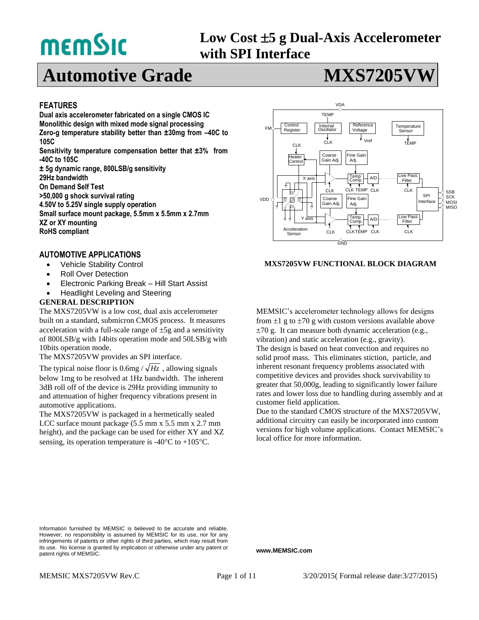# **memSic**

## **Low Cost 5 g Dual-Axis Accelerometer with SPI Interface**

## **Automotive Grade MXS7205V**

#### **FEATURES**

**Dual axis accelerometer fabricated on a single CMOS IC Monolithic design with mixed mode signal processing Zero-g temperature stability better than ± 30mg from –40C to 105C** Sensitivity temperature compensation better that ±3% from **-40C to 105C ± 5g dynamic range, 800LSB/g sensitivity 29Hz bandwidth On Demand Self Test >50,000 g shock survival rating 4.50V to 5.25V single supply operation Small surface mount package, 5.5mm x 5.5mm x 2.7mm XZ or XY mounting**

**RoHS compliant**

#### **AUTOMOTIVE APPLICATIONS**

- Vehicle Stability Control
- Roll Over Detection
- Electronic Parking Break Hill Start Assist
- Headlight Leveling and Steering

#### **GENERAL DESCRIPTION**

The MXS7205VW is a low cost, dual axis accelerometer built on a standard, submicron CMOS process. It measures acceleration with a full-scale range of  $\pm 5g$  and a sensitivity of 800LSB/g with 14bits operation mode and 50LSB/g with 10bits operation mode.

The MXS7205VW provides an SPI interface.

The typical noise floor is  $0.6mg / \sqrt{Hz}$ , allowing signals below 1mg to be resolved at 1Hz bandwidth. The inherent 3dB roll off of the device is 29Hz providing immunity to and attenuation of higher frequency vibrations present in automotive applications.

The MXS7205VW is packaged in a hermetically sealed LCC surface mount package (5.5 mm x 5.5 mm x 2.7 mm height), and the package can be used for either XY and XZ sensing, its operation temperature is -40 $\rm ^{\circ}C$  to +105 $\rm ^{\circ}C$ .



#### **MXS7205VW FUNCTIONAL BLOCK DIAGRAM**

MEMSIC's accelerometer technology allows for designs from  $\pm 1$  g to  $\pm 70$  g with custom versions available above  $\pm 70$  g. It can measure both dynamic acceleration (e.g., vibration) and static acceleration (e.g., gravity). The design is based on heat convection and requires no solid proof mass. This eliminates stiction, particle, and inherent resonant frequency problems associated with competitive devices and provides shock survivability to greater that 50,000g, leading to significantly lower failure rates and lower loss due to handling during assembly and at customer field application.

Due to the standard CMOS structure of the MXS7205VW, additional circuitry can easily be incorporated into custom versions for high volume applications. Contact MEMSIC's local office for more information.

**www.MEMSIC.com**

Information furnished by MEMSIC is believed to be accurate and reliable. However, no responsibility is assumed by MEMSIC for its use, nor for any infringements of patents or other rights of third parties, which may result from its use. No license is granted by implication or otherwise under any patent or patent rights of MEMSIC.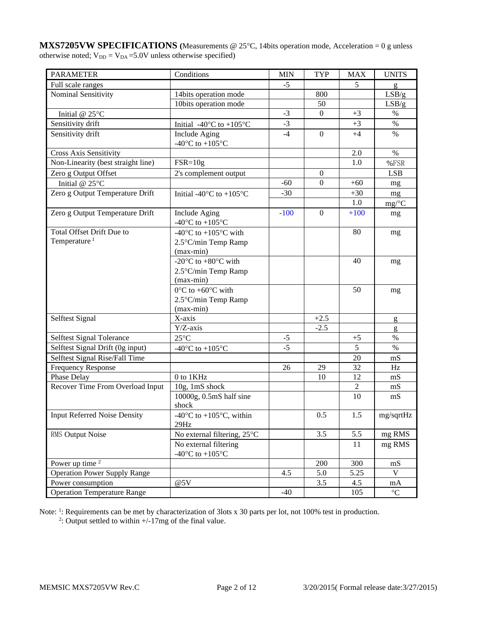**MXS7205VW SPECIFICATIONS** (Measurements @ 25°C, 14bits operation mode, Acceleration = 0 g unless otherwise noted;  $V_{DD} = V_{DA} = 5.0V$  unless otherwise specified)

| <b>PARAMETER</b>                    | Conditions                                                     | <b>MIN</b> | <b>TYP</b>       | <b>MAX</b>     | <b>UNITS</b>         |
|-------------------------------------|----------------------------------------------------------------|------------|------------------|----------------|----------------------|
| Full scale ranges                   |                                                                | $-5$       |                  | 5              | g                    |
| Nominal Sensitivity                 | 14bits operation mode                                          |            | 800              |                | LSB/g                |
|                                     | 10bits operation mode                                          |            | 50               |                | LSB/g                |
| Initial @ 25°C                      |                                                                | $-3$       | $\boldsymbol{0}$ | $+3$           | $\%$                 |
| Sensitivity drift                   | Initial -40 $\rm{^{\circ}C}$ to +105 $\rm{^{\circ}C}$          | $-3$       |                  | $+3$           | $\%$                 |
| Sensitivity drift                   | Include Aging                                                  | $-4$       | $\boldsymbol{0}$ | $+4$           | $\%$                 |
|                                     | -40 $^{\circ}$ C to +105 $^{\circ}$ C                          |            |                  |                |                      |
| <b>Cross Axis Sensitivity</b>       |                                                                |            |                  | 2.0            | $\%$                 |
| Non-Linearity (best straight line)  | $FSR = 10g$                                                    |            |                  | 1.0            | %FSR                 |
| Zero g Output Offset                | 2's complement output                                          |            | $\boldsymbol{0}$ |                | <b>LSB</b>           |
| Initial @ 25°C                      |                                                                | $-60$      | $\mathbf{0}$     | $+60$          | mg                   |
| Zero g Output Temperature Drift     | Initial -40 $\rm{^{\circ}C}$ to +105 $\rm{^{\circ}C}$          | $-30$      |                  | $+30$          | mg                   |
|                                     |                                                                |            |                  | 1.0            | $mg$ <sup>o</sup> C  |
| Zero g Output Temperature Drift     | Include Aging                                                  | $-100$     | $\boldsymbol{0}$ | $+100$         | mg                   |
|                                     | -40 $^{\circ}$ C to +105 $^{\circ}$ C                          |            |                  |                |                      |
| <b>Total Offset Drift Due to</b>    | -40 $\rm{^{\circ}C}$ to +105 $\rm{^{\circ}C}$ with             |            |                  | 80             | mg                   |
| Temperature <sup>1</sup>            | 2.5°C/min Temp Ramp                                            |            |                  |                |                      |
|                                     | $(max-min)$                                                    |            |                  |                |                      |
|                                     | -20 $\rm{^{\circ}C}$ to +80 $\rm{^{\circ}C}$ with              |            |                  | 40             | mg                   |
|                                     | 2.5°C/min Temp Ramp                                            |            |                  |                |                      |
|                                     | $(max-min)$                                                    |            |                  |                |                      |
|                                     | $0^{\circ}$ C to +60 $^{\circ}$ C with                         |            |                  | 50             | mg                   |
|                                     | 2.5°C/min Temp Ramp                                            |            |                  |                |                      |
|                                     | $(max-min)$                                                    |            |                  |                |                      |
| Selftest Signal                     | X-axis                                                         |            | $+2.5$           |                | g                    |
|                                     | $Y/Z$ -axis                                                    |            | $-2.5$           |                | g                    |
| Selftest Signal Tolerance           | $25^{\circ}$ C                                                 | $-5$       |                  | $+5$           | $\%$                 |
| Selftest Signal Drift (0g input)    | -40 $^{\circ}$ C to +105 $^{\circ}$ C                          | $-5$       |                  | 5              | $\%$                 |
| Selftest Signal Rise/Fall Time      |                                                                |            |                  | 20             | mS                   |
| <b>Frequency Response</b>           |                                                                | 26         | 29               | 32             | Hz                   |
| Phase Delay                         | 0 to 1KHz                                                      |            | 10               | 12             | mS                   |
| Recover Time From Overload Input    | 10g, 1mS shock                                                 |            |                  | $\overline{c}$ | mS                   |
|                                     | 10000g, 0.5mS half sine                                        |            |                  | 10             | mS                   |
| <b>Input Referred Noise Density</b> | shock                                                          |            |                  |                |                      |
|                                     | -40 $\rm{^{\circ}C}$ to +105 $\rm{^{\circ}C}$ , within<br>29Hz |            | 0.5              | 1.5            | mg/sqrtHz            |
| RMS Output Noise                    | No external filtering, 25°C                                    |            | 3.5              | 5.5            | mg RMS               |
|                                     | No external filtering                                          |            |                  | 11             | mg RMS               |
|                                     | -40 $^{\circ}$ C to +105 $^{\circ}$ C                          |            |                  |                |                      |
| Power up time $2$                   |                                                                |            | 200              | 300            | mS                   |
| <b>Operation Power Supply Range</b> |                                                                | 4.5        | 5.0              | 5.25           | V                    |
| Power consumption                   | @5V                                                            |            | 3.5              | 4.5            | mA                   |
| Operation Temperature Range         |                                                                | $-40$      |                  | 105            | $^{\circ}\mathrm{C}$ |

Note: <sup>1</sup>: Requirements can be met by characterization of 3lots x 30 parts per lot, not 100% test in production.<br><sup>2</sup>: Output settled to within +/-17mg of the final value.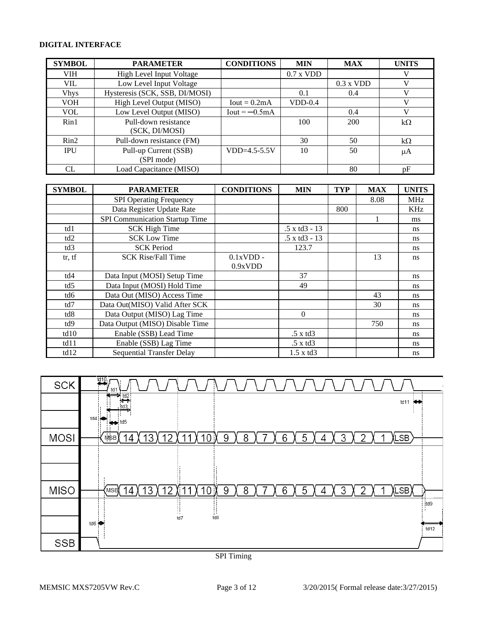#### **DIGITAL INTERFACE**

| <b>SYMBOL</b>   | <b>PARAMETER</b>                | <b>CONDITIONS</b> | <b>MIN</b>  | <b>MAX</b>  | <b>UNITS</b> |
|-----------------|---------------------------------|-------------------|-------------|-------------|--------------|
| <b>VIH</b>      | <b>High Level Input Voltage</b> |                   | $0.7$ x VDD |             | V            |
| VIL.            | Low Level Input Voltage         |                   |             | $0.3$ x VDD | V            |
| <b>Vhys</b>     | Hysteresis (SCK, SSB, DI/MOSI)  |                   | 0.1         | 0.4         | V            |
| <b>VOH</b>      | High Level Output (MISO)        | $Iout = 0.2mA$    | $VDD-0.4$   |             | V            |
| <b>VOL</b>      | Low Level Output (MISO)         | $Iout = -0.5mA$   |             | 0.4         | V            |
| Rin1            | Pull-down resistance            |                   | 100         | 200         | $k\Omega$    |
|                 | (SCK, DI/MOSI)                  |                   |             |             |              |
| $\mathrm{Rin}2$ | Pull-down resistance (FM)       |                   | 30          | 50          | $k\Omega$    |
| <b>IPU</b>      | Pull-up Current (SSB)           | $VDD=4.5-5.5V$    | 10          | 50          | μA           |
|                 | (SPI mode)                      |                   |             |             |              |
| CL              | Load Capacitance (MISO)         |                   |             | 80          | pF           |

| <b>SYMBOL</b> | <b>PARAMETER</b>                 | <b>CONDITIONS</b> | <b>MIN</b>      | <b>TYP</b> | <b>MAX</b> | <b>UNITS</b>  |
|---------------|----------------------------------|-------------------|-----------------|------------|------------|---------------|
|               | <b>SPI Operating Frequency</b>   |                   |                 |            | 8.08       | <b>MHz</b>    |
|               | Data Register Update Rate        |                   |                 | 800        |            | <b>KHz</b>    |
|               | SPI Communication Startup Time   |                   |                 |            |            | ms            |
| td1           | <b>SCK High Time</b>             |                   | .5 x td3 - 13   |            |            | <sub>ns</sub> |
| td2           | <b>SCK Low Time</b>              |                   | .5 x td3 - 13   |            |            | <sub>ns</sub> |
| td3           | <b>SCK Period</b>                |                   | 123.7           |            |            | <sub>ns</sub> |
| tr, tf        | <b>SCK Rise/Fall Time</b>        | $0.1xVDD -$       |                 |            | 13         | <sub>ns</sub> |
|               |                                  | 0.9xVDD           |                 |            |            |               |
| td4           | Data Input (MOSI) Setup Time     |                   | 37              |            |            | ns            |
| td5           | Data Input (MOSI) Hold Time      |                   | 49              |            |            | ns            |
| td6           | Data Out (MISO) Access Time      |                   |                 |            | 43         | <sub>ns</sub> |
| td7           | Data Out(MISO) Valid After SCK   |                   |                 |            | 30         | <sub>ns</sub> |
| td8           | Data Output (MISO) Lag Time      |                   | $\Omega$        |            |            | <sub>ns</sub> |
| td9           | Data Output (MISO) Disable Time  |                   |                 |            | 750        | <sub>ns</sub> |
| td10          | Enable (SSB) Lead Time           |                   | .5xtd3          |            |            | ns            |
| td11          | Enable (SSB) Lag Time            |                   | .5 x td3        |            |            | <sub>ns</sub> |
| td12          | <b>Sequential Transfer Delay</b> |                   | $1.5 \times d3$ |            |            | ns            |



#### SPI Timing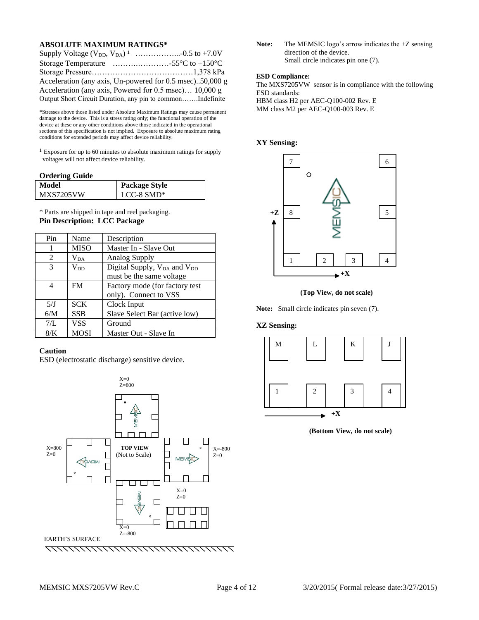#### **ABSOLUTE MAXIMUM RATINGS\***

| Storage Temperature $\ldots \ldots \ldots \ldots \ldots \ldots \ldots$ 55 °C to +150 °C |
|-----------------------------------------------------------------------------------------|
|                                                                                         |
| Acceleration (any axis, Un-powered for 0.5 msec)50,000 g                                |
| Acceleration (any axis, Powered for 0.5 msec) 10,000 g                                  |
| Output Short Circuit Duration, any pin to commonIndefinite                              |

\*Stresses above those listed under Absolute Maximum Ratings may cause permanent damage to the device. This is a stress rating only; the functional operation of the device at these or any other conditions above those indicated in the operational sections of this specification is not implied. Exposure to absolute maximum rating conditions for extended periods may affect device reliability.

 $1$  Exposure for up to 60 minutes to absolute maximum ratings for supply voltages will not affect device reliability.

#### **Ordering Guide**

| Model     | <b>Package Style</b> |
|-----------|----------------------|
| MXS7205VW | LCC-8 SMD*           |

\* Parts are shipped in tape and reel packaging. **Pin Description: LCC Package**

| Pin           | Name         | Description                                         |
|---------------|--------------|-----------------------------------------------------|
| 1             | <b>MISO</b>  | Master In - Slave Out                               |
| $\mathcal{L}$ | $\rm V_{DA}$ | <b>Analog Supply</b>                                |
| 3             | $V_{DD}$     | Digital Supply, V <sub>DA</sub> and V <sub>DD</sub> |
|               |              | must be the same voltage                            |
| 4             | <b>FM</b>    | Factory mode (for factory test                      |
|               |              | only). Connect to VSS                               |
| 5/J           | <b>SCK</b>   | Clock Input                                         |
| 6/M           | <b>SSB</b>   | Slave Select Bar (active low)                       |
| 7/L           | VSS          | Ground                                              |
| 8/K           | <b>MOSI</b>  | Master Out - Slave In                               |

#### **Caution**

ESD (electrostatic discharge) sensitive device.



Note: The MEMSIC logo's arrow indicates the +Z sensing direction of the device. Small circle indicates pin one (7).

#### **ESD Compliance:**

The MXS7205VW sensor is in compliance with the following ESD standards: HBM class H2 per AEC-Q100-002 Rev. E MM class M2 per AEC-Q100-003 Rev. E

#### **XY Sensing:**



 **(Top View, do not scale)**

**Note:** Small circle indicates pin seven (7).

#### **XZ Sensing:**



**(Bottom View, do not scale)**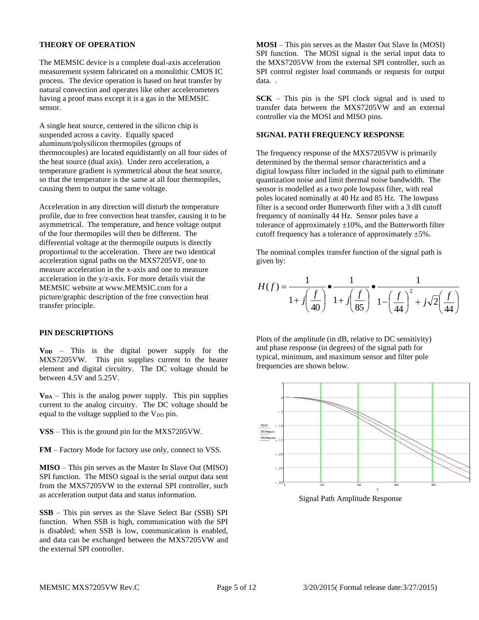#### **THEORY OF OPERATION**

The MEMSIC device is a complete dual-axis acceleration measurement system fabricated on a monolithic CMOS IC process. The device operation is based on heat transfer by natural convection and operates like other accelerometers having a proof mass except it is a gas in the MEMSIC sensor.

A single heat source, centered in the silicon chip is suspended across a cavity. Equally spaced aluminum/polysilicon thermopiles (groups of thermocouples) are located equidistantly on all four sides of the heat source (dual axis). Under zero acceleration, a temperature gradient is symmetrical about the heat source, so that the temperature is the same at all four thermopiles, causing them to output the same voltage.

Acceleration in any direction will disturb the temperature profile, due to free convection heat transfer, causing it to be asymmetrical. The temperature, and hence voltage output of the four thermopiles will then be different. The differential voltage at the thermopile outputs is directly proportional to the acceleration. There are two identical acceleration signal paths on the MXS7205VF, one to measure acceleration in the x-axis and one to measure acceleration in the y/z-axis. For more details visit the MEMSIC website at www.MEMSIC.com for a picture/graphic description of the free convection heat transfer principle.

#### **PIN DESCRIPTIONS**

 $V_{DD}$  – This is the digital power supply for the MXS7205VW. This pin supplies current to the heater element and digital circuitry. The DC voltage should be between 4.5V and 5.25V.

 $V_{DA}$  – This is the analog power supply. This pin supplies current to the analog circuitry. The DC voltage should be equal to the voltage supplied to the  $V_{DD}$  pin.

**VSS** – This is the ground pin for the MXS7205VW.

**FM** – Factory Mode for factory use only, connect to VSS.

**MISO** – This pin serves as the Master In Slave Out (MISO) SPI function. The MISO signal is the serial output data sent from the MXS7205VW to the external SPI controller, such as acceleration output data and status information.

**SSB** – This pin serves as the Slave Select Bar (SSB) SPI function. When SSB is high, communication with the SPI is disabled; when SSB is low, communication is enabled, and data can be exchanged between the MXS7205VW and the external SPI controller.

**MOSI** – This pin serves as the Master Out Slave In (MOSI) SPI function. The MOSI signal is the serial input data to the MXS7205VW from the external SPI controller, such as SPI control register load commands or requests for output data. .

**SCK** – This pin is the SPI clock signal and is used to transfer data between the MXS7205VW and an external controller via the MOSI and MISO pins.

#### **SIGNAL PATH FREQUENCY RESPONSE**

The frequency response of the MXS7205VW is primarily determined by the thermal sensor characteristics and a digital lowpass filter included in the signal path to eliminate quantization noise and limit thermal noise bandwidth. The sensor is modelled as a two pole lowpass filter, with real poles located nominally at 40 Hz and 85 Hz. The lowpass filter is a second order Butterworth filter with a 3 dB cutoff frequency of nominally 44 Hz. Sensor poles have a tolerance of approximately  $\pm 10\%$ , and the Butterworth filter cutoff frequency has a tolerance of approximately  $\pm 5\%$ .

The nominal complex transfer function of the signal path is given by:

$$
H(f) = \frac{1}{1 + j\left(\frac{f}{40}\right)} \cdot \frac{1}{1 + j\left(\frac{f}{85}\right)} \cdot \frac{1}{1 - \left(\frac{f}{44}\right)^2 + j\sqrt{2}\left(\frac{f}{44}\right)}
$$

Plots of the amplitude (in dB, relative to DC sensitivity) and phase response (in degrees) of the signal path for typical, minimum, and maximum sensor and filter pole frequencies are shown below.



Signal Path Amplitude Response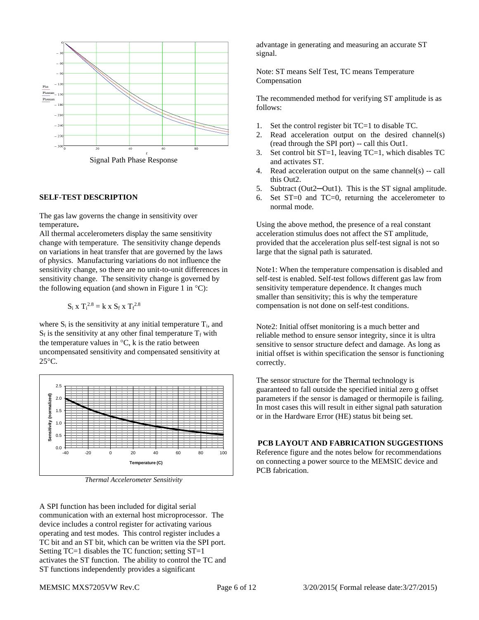

Signal Path Phase Response

#### **SELF-TEST DESCRIPTION**

The gas law governs the change in sensitivity over temperature**.** 

All thermal accelerometers display the same sensitivity change with temperature. The sensitivity change depends on variations in heat transfer that are governed by the laws of physics. Manufacturing variations do not influence the sensitivity change, so there are no unit-to-unit differences in sensitivity change. The sensitivity change is governed by the following equation (and shown in Figure 1 in  $°C$ ):

$$
S_i \; x \; T_i^{2.8} = k \; x \; S_f \; x \; T_f^{2.8}
$$

where  $S_i$  is the sensitivity at any initial temperature  $T_i$ , and  $S_f$  is the sensitivity at any other final temperature  $T_f$  with the temperature values in  $\mathrm{C}$ , k is the ratio between uncompensated sensitivity and compensated sensitivity at  $25^{\circ}$ C.



*Thermal Accelerometer Sensitivity*

A SPI function has been included for digital serial communication with an external host microprocessor. The device includes a control register for activating various operating and test modes. This control register includes a TC bit and an ST bit, which can be written via the SPI port. Setting TC=1 disables the TC function; setting ST=1 activates the ST function. The ability to control the TC and ST functions independently provides a significant

advantage in generating and measuring an accurate ST signal.

Note: ST means Self Test, TC means Temperature Compensation

The recommended method for verifying ST amplitude is as follows:

- 1. Set the control register bit TC=1 to disable TC.
- 2. Read acceleration output on the desired channel(s) (read through the SPI port) -- call this Out1.
- 3. Set control bit  $ST=1$ , leaving  $TC=1$ , which disables  $TC$ and activates ST.
- 4. Read acceleration output on the same channel(s) -- call this Out2.
- 5. Subtract (Out2—Out1). This is the ST signal amplitude.
- 6. Set ST=0 and TC=0, returning the accelerometer to normal mode.

Using the above method, the presence of a real constant acceleration stimulus does not affect the ST amplitude, provided that the acceleration plus self-test signal is not so large that the signal path is saturated.

Note1: When the temperature compensation is disabled and self-test is enabled. Self-test follows different gas law from sensitivity temperature dependence. It changes much smaller than sensitivity; this is why the temperature compensation is not done on self-test conditions.

Note2: Initial offset monitoring is a much better and reliable method to ensure sensor integrity, since it is ultra sensitive to sensor structure defect and damage. As long as initial offset is within specification the sensor is functioning correctly.

The sensor structure for the Thermal technology is guaranteed to fall outside the specified initial zero g offset parameters if the sensor is damaged or thermopile is failing. In most cases this will result in either signal path saturation or in the Hardware Error (HE) status bit being set.

**PCB LAYOUT AND FABRICATION SUGGESTIONS**

Reference figure and the notes below for recommendations on connecting a power source to the MEMSIC device and PCB fabrication.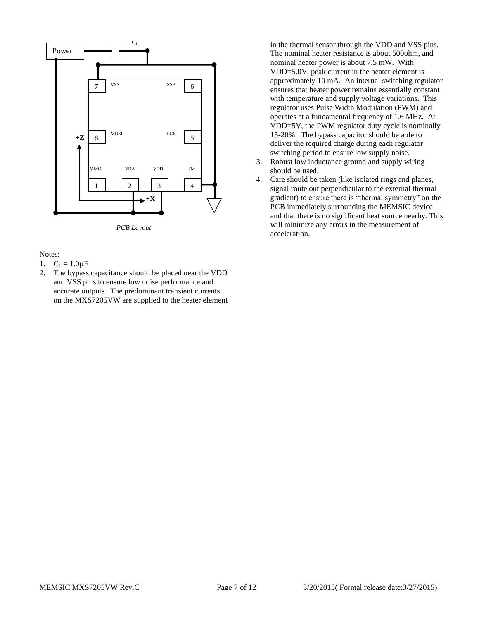

*PCB Layout*

#### Notes:

- 1.  $C_1 = 1.0 \mu F$
- 2. The bypass capacitance should be placed near the VDD and VSS pins to ensure low noise performance and accurate outputs. The predominant transient currents on the MXS7205VW are supplied to the heater element

in the thermal sensor through the VDD and VSS pins. The nominal heater resistance is about 500ohm, and nominal heater power is about 7.5 mW. With VDD=5.0V, peak current in the heater element is approximately 10 mA. An internal switching regulator ensures that heater power remains essentially constant with temperature and supply voltage variations. This regulator uses Pulse Width Modulation (PWM) and operates at a fundamental frequency of 1.6 MHz. At VDD=5V, the PWM regulator duty cycle is nominally 15-20%. The bypass capacitor should be able to deliver the required charge during each regulator switching period to ensure low supply noise.

- 3. Robust low inductance ground and supply wiring should be used.
- 4. Care should be taken (like isolated rings and planes, signal route out perpendicular to the external thermal gradient) to ensure there is "thermal symmetry" on the PCB immediately surrounding the MEMSIC device and that there is no significant heat source nearby. This will minimize any errors in the measurement of acceleration.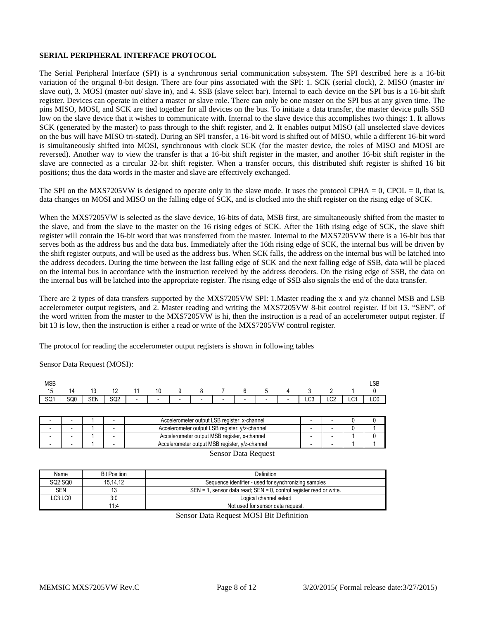#### **SERIAL PERIPHERAL INTERFACE PROTOCOL**

The Serial Peripheral Interface (SPI) is a synchronous serial communication subsystem. The SPI described here is a 16-bit variation of the original 8-bit design. There are four pins associated with the SPI: 1. SCK (serial clock), 2. MISO (master in/ slave out), 3. MOSI (master out/ slave in), and 4. SSB (slave select bar). Internal to each device on the SPI bus is a 16-bit shift register. Devices can operate in either a master or slave role. There can only be one master on the SPI bus at any given time. The pins MISO, MOSI, and SCK are tied together for all devices on the bus. To initiate a data transfer, the master device pulls SSB low on the slave device that it wishes to communicate with. Internal to the slave device this accomplishes two things: 1. It allows SCK (generated by the master) to pass through to the shift register, and 2. It enables output MISO (all unselected slave devices on the bus will have MISO tri-stated). During an SPI transfer, a 16-bit word is shifted out of MISO, while a different 16-bit word is simultaneously shifted into MOSI, synchronous with clock SCK (for the master device, the roles of MISO and MOSI are reversed). Another way to view the transfer is that a 16-bit shift register in the master, and another 16-bit shift register in the slave are connected as a circular 32-bit shift register. When a transfer occurs, this distributed shift register is shifted 16 bit positions; thus the data words in the master and slave are effectively exchanged.

The SPI on the MXS7205VW is designed to operate only in the slave mode. It uses the protocol CPHA =  $0$ , CPOL =  $0$ , that is, data changes on MOSI and MISO on the falling edge of SCK, and is clocked into the shift register on the rising edge of SCK.

When the MXS7205VW is selected as the slave device, 16-bits of data, MSB first, are simultaneously shifted from the master to the slave, and from the slave to the master on the 16 rising edges of SCK. After the 16th rising edge of SCK, the slave shift register will contain the 16-bit word that was transferred from the master. Internal to the MXS7205VW there is a 16-bit bus that serves both as the address bus and the data bus. Immediately after the 16th rising edge of SCK, the internal bus will be driven by the shift register outputs, and will be used as the address bus. When SCK falls, the address on the internal bus will be latched into the address decoders. During the time between the last falling edge of SCK and the next falling edge of SSB, data will be placed on the internal bus in accordance with the instruction received by the address decoders. On the rising edge of SSB, the data on the internal bus will be latched into the appropriate register. The rising edge of SSB also signals the end of the data transfer.

There are 2 types of data transfers supported by the MXS7205VW SPI: 1.Master reading the x and y/z channel MSB and LSB accelerometer output registers, and 2. Master reading and writing the MXS7205VW 8-bit control register. If bit 13, "SEN", of the word written from the master to the MXS7205VW is hi, then the instruction is a read of an accelerometer output register. If bit 13 is low, then the instruction is either a read or write of the MXS7205VW control register.

The protocol for reading the accelerometer output registers is shown in following tables

Sensor Data Request (MOSI):

| MSB<br>15 | 14         | 13         | 12              | 11                       | 10                       | У                        |                          |                          | b              | Ð.     | 4                        |               |                 |              | LSB                      |
|-----------|------------|------------|-----------------|--------------------------|--------------------------|--------------------------|--------------------------|--------------------------|----------------|--------|--------------------------|---------------|-----------------|--------------|--------------------------|
| SQ1       | c∩∩<br>owu | <b>SEN</b> | SQ <sub>2</sub> | $\overline{\phantom{0}}$ | $\overline{\phantom{0}}$ | $\overline{\phantom{a}}$ | $\overline{\phantom{0}}$ | $\overline{\phantom{a}}$ | $\blacksquare$ | $\sim$ | $\overline{\phantom{a}}$ | $\sim$<br>∟∪ບ | LC <sub>2</sub> | $\sim$<br>ᄔᄓ | $\sim$<br>∟∪u            |
|           |            |            |                 |                          |                          |                          |                          |                          |                |        |                          |               |                 |              |                          |
|           |            |            |                 |                          |                          |                          |                          | .                        |                |        |                          |               |                 | $\sim$       | $\overline{\phantom{a}}$ |

|  |  | Accelerometer output LSB register, x-channel   |  |  |
|--|--|------------------------------------------------|--|--|
|  |  | Accelerometer output LSB register, y/z-channel |  |  |
|  |  | Accelerometer output MSB register, x-channel   |  |  |
|  |  | Accelerometer output MSB register, y/z-channel |  |  |

Sensor Data Request

| Name       | <b>Bit Position</b> | Definition                                                                |
|------------|---------------------|---------------------------------------------------------------------------|
| SQ2:SQ0    | 15.14.12            | Sequence identifier - used for synchronizing samples                      |
| <b>SEN</b> | 13                  | $SEN = 1$ , sensor data read; $SEN = 0$ , control register read or write. |
| LC3:LC0    | 3:0                 | Logical channel select                                                    |
|            | 11:4                | Not used for sensor data request.                                         |
|            |                     |                                                                           |

Sensor Data Request MOSI Bit Definition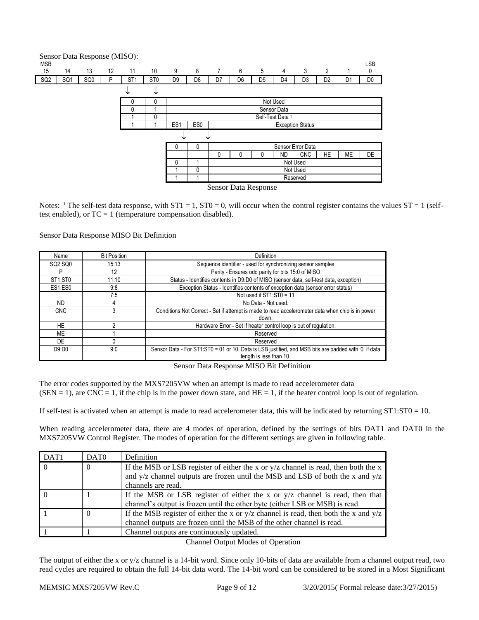

Notes: <sup>1</sup> The self-test data response, with  $ST1 = 1$ ,  $ST0 = 0$ , will occur when the control register contains the values  $ST = 1$  (selftest enabled), or  $TC = 1$  (temperature compensation disabled).

Sensor Data Response MISO Bit Definition

| Name                             | <b>Bit Position</b> | Definition                                                                                                                       |
|----------------------------------|---------------------|----------------------------------------------------------------------------------------------------------------------------------|
| SQ2:SQ0                          | 15:13               | Sequence identifier - used for synchronizing sensor samples                                                                      |
|                                  | 12                  | Parity - Ensures odd parity for bits 15:0 of MISO                                                                                |
| ST <sub>1</sub> :ST <sub>0</sub> | 11:10               | Status - Identifies contents in D9:D0 of MISO (sensor data, self-test data, exception)                                           |
| ES1:ES0                          | 9:8                 | Exception Status - Identifies contents of exception data (sensor error status)                                                   |
|                                  | 7:5                 | Not used if $ST1:ST0 = 11$                                                                                                       |
| <b>ND</b>                        | 4                   | No Data - Not used.                                                                                                              |
| <b>CNC</b>                       |                     | Conditions Not Correct - Set if attempt is made to read accelerometer data when chip is in power                                 |
|                                  |                     | down.                                                                                                                            |
| HE                               |                     | Hardware Error - Set if heater control loop is out of regulation.                                                                |
| ME                               |                     | Reserved                                                                                                                         |
| DE                               |                     | Reserved                                                                                                                         |
| D9:DD0                           | 9:0                 | Sensor Data - For ST1:ST0 = 01 or 10. Data is LSB justified, and MSB bits are padded with '0' if data<br>length is less than 10. |

Sensor Data Response MISO Bit Definition

The error codes supported by the MXS7205VW when an attempt is made to read accelerometer data  $(SEN = 1)$ , are CNC = 1, if the chip is in the power down state, and HE = 1, if the heater control loop is out of regulation.

If self-test is activated when an attempt is made to read accelerometer data, this will be indicated by returning  $ST1:ST0 = 10$ .

When reading accelerometer data, there are 4 modes of operation, defined by the settings of bits DAT1 and DAT0 in the MXS7205VW Control Register. The modes of operation for the different settings are given in following table.

| DAT1 | DAT <sub>0</sub> | Definition                                                                                                                                                                                       |
|------|------------------|--------------------------------------------------------------------------------------------------------------------------------------------------------------------------------------------------|
|      | $\theta$         | If the MSB or LSB register of either the x or $y/z$ channel is read, then both the x<br>and $y/z$ channel outputs are frozen until the MSB and LSB of both the x and $y/z$<br>channels are read. |
|      |                  | If the MSB or LSB register of either the x or $y/z$ channel is read, then that<br>channel's output is frozen until the other byte (either LSB or MSB) is read.                                   |
|      |                  | If the MSB register of either the x or $y/z$ channel is read, then both the x and $y/z$<br>channel outputs are frozen until the MSB of the other channel is read.                                |
|      |                  | Channel outputs are continuously updated.                                                                                                                                                        |

Channel Output Modes of Operation

The output of either the x or y/z channel is a 14-bit word. Since only 10-bits of data are available from a channel output read, two read cycles are required to obtain the full 14-bit data word. The 14-bit word can be considered to be stored in a Most Significant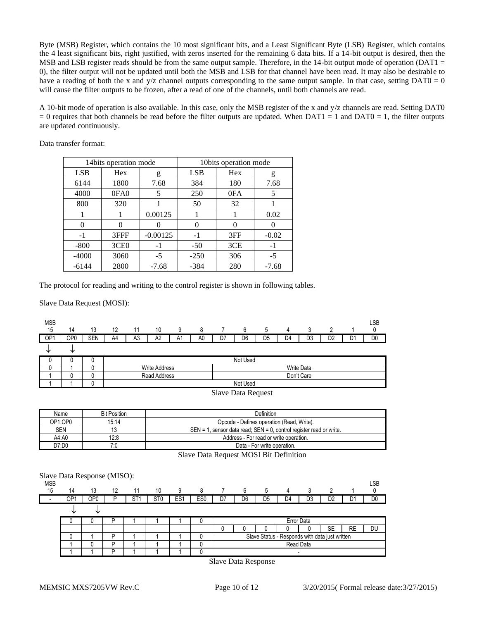Byte (MSB) Register, which contains the 10 most significant bits, and a Least Significant Byte (LSB) Register, which contains the 4 least significant bits, right justified, with zeros inserted for the remaining 6 data bits. If a 14-bit output is desired, then the MSB and LSB register reads should be from the same output sample. Therefore, in the 14-bit output mode of operation ( $DATA =$ 0), the filter output will not be updated until both the MSB and LSB for that channel have been read. It may also be desirable to have a reading of both the x and  $y/z$  channel outputs corresponding to the same output sample. In that case, setting DAT0 = 0 will cause the filter outputs to be frozen, after a read of one of the channels, until both channels are read.

A 10-bit mode of operation is also available. In this case, only the MSB register of the x and y/z channels are read. Setting DAT0  $= 0$  requires that both channels be read before the filter outputs are updated. When DAT1 = 1 and DAT0 = 1, the filter outputs are updated continuously.

|            | 14bits operation mode |            | 10bits operation mode |     |         |  |
|------------|-----------------------|------------|-----------------------|-----|---------|--|
| <b>LSB</b> | Hex                   | g          | <b>LSB</b>            | Hex | g       |  |
| 6144       | 1800                  | 7.68       | 384                   | 180 | 7.68    |  |
| 4000       | 0FA0                  | 5          | 250                   | 0FA | 5       |  |
| 800        | 320                   |            | 50                    | 32  |         |  |
|            |                       | 0.00125    |                       |     | 0.02    |  |
| 0          | 0                     |            |                       |     |         |  |
| $-1$       | 3FFF                  | $-0.00125$ | $-1$                  | 3FF | $-0.02$ |  |
| $-800$     | 3CE <sub>0</sub>      | -1         | $-50$                 | 3CE | - 1     |  |
| $-4000$    | 3060                  | $-5$       | $-250$                | 306 | $-5$    |  |
| $-6144$    | 2800                  | $-7.68$    | $-384$                | 280 | $-7.68$ |  |

Data transfer format:

The protocol for reading and writing to the control register is shown in following tables.

Slave Data Request (MOSI):



| Name       | <b>Bit Position</b> | Definition                                                                 |  |  |  |  |  |
|------------|---------------------|----------------------------------------------------------------------------|--|--|--|--|--|
| OP1:OP0    | 15.14               | Opcode - Defines operation (Read, Write).                                  |  |  |  |  |  |
| <b>SEN</b> |                     | 1, sensor data read; SEN = 0, control register read or write.<br>$SFN = 1$ |  |  |  |  |  |
| A4:A0      | 12:8                | Address - For read or write operation.                                     |  |  |  |  |  |
| D7:D0      |                     | Data - For write operation.                                                |  |  |  |  |  |

Slave Data Request MOSI Bit Definition

| Slave Data Response (MISO):<br><b>MSB</b> |     |     |    |                 |                 |                 |                 |    |                |    |                |                                                |                |                | LSB            |
|-------------------------------------------|-----|-----|----|-----------------|-----------------|-----------------|-----------------|----|----------------|----|----------------|------------------------------------------------|----------------|----------------|----------------|
| 15                                        | 14  | 13  | 12 | 11              | 10              | 9               | 8               |    | 6              | 5  | 4              | 3                                              |                |                |                |
| $\overline{\phantom{a}}$                  | OP1 | OP0 | P  | ST <sub>1</sub> | ST <sub>0</sub> | ES <sub>1</sub> | ES <sub>0</sub> | D7 | D <sub>6</sub> | D5 | D <sub>4</sub> | D3                                             | D <sub>2</sub> | D <sub>1</sub> | D <sub>0</sub> |
|                                           |     | ◡   |    |                 |                 |                 |                 |    |                |    |                |                                                |                |                |                |
|                                           |     |     | D  |                 |                 |                 |                 |    |                |    |                | Error Data                                     |                |                |                |
|                                           |     |     |    |                 |                 |                 |                 | 0  |                |    |                |                                                | SE             | <b>RE</b>      | DU             |
|                                           |     |     | D  |                 |                 |                 |                 |    |                |    |                | Slave Status - Responds with data just written |                |                |                |
|                                           |     |     | D  |                 |                 |                 |                 |    |                |    |                | Read Data                                      |                |                |                |
|                                           |     |     | D  |                 |                 |                 |                 |    |                |    |                | -                                              |                |                |                |

Slave Data Response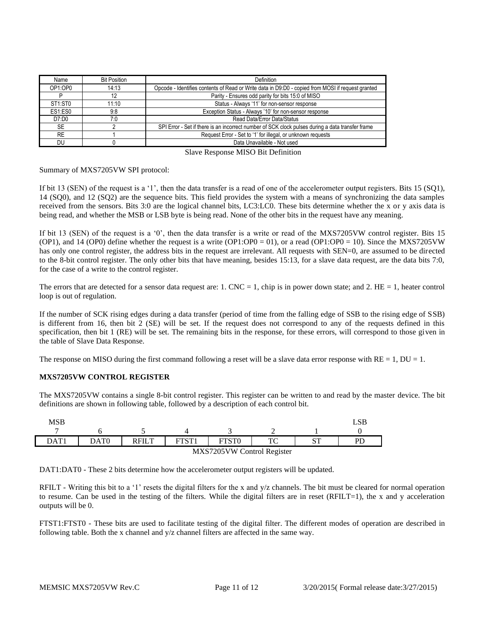| Name                             | <b>Bit Position</b> | Definition                                                                                        |  |  |  |  |  |
|----------------------------------|---------------------|---------------------------------------------------------------------------------------------------|--|--|--|--|--|
| OP1:OP0                          | 14:13               | Opcode - Identifies contents of Read or Write data in D9:D0 - copied from MOSI if request granted |  |  |  |  |  |
|                                  | 12                  | Parity - Ensures odd parity for bits 15:0 of MISO                                                 |  |  |  |  |  |
| ST <sub>1</sub> :ST <sub>0</sub> | 11:10               | Status - Always '11' for non-sensor response                                                      |  |  |  |  |  |
| ES1:ES0                          | 9:8                 | Exception Status - Always '10' for non-sensor response                                            |  |  |  |  |  |
| D7:DD0                           | 7:0                 | Read Data/Error Data/Status                                                                       |  |  |  |  |  |
| <b>SE</b>                        |                     | SPI Error - Set if there is an incorrect number of SCK clock pulses during a data transfer frame  |  |  |  |  |  |
| <b>RE</b>                        |                     | Request Error - Set to '1' for illegal, or unknown requests                                       |  |  |  |  |  |
| DU                               |                     | Data Unavailable - Not used                                                                       |  |  |  |  |  |
|                                  |                     | $-1$                                                                                              |  |  |  |  |  |

Slave Response MISO Bit Definition

Summary of MXS7205VW SPI protocol:

If bit 13 (SEN) of the request is a '1', then the data transfer is a read of one of the accelerometer output registers. Bits 15 (SQ1), 14 (SQ0), and 12 (SQ2) are the sequence bits. This field provides the system with a means of synchronizing the data samples received from the sensors. Bits 3:0 are the logical channel bits, LC3:LC0. These bits determine whether the x or y axis data is being read, and whether the MSB or LSB byte is being read. None of the other bits in the request have any meaning.

If bit 13 (SEN) of the request is a '0', then the data transfer is a write or read of the MXS7205VW control register. Bits 15 (OP1), and 14 (OP0) define whether the request is a write (OP1:OP0 = 01), or a read (OP1:OP0 = 10). Since the MXS7205VW has only one control register, the address bits in the request are irrelevant. All requests with SEN=0, are assumed to be directed to the 8-bit control register. The only other bits that have meaning, besides 15:13, for a slave data request, are the data bits 7:0, for the case of a write to the control register.

The errors that are detected for a sensor data request are: 1. CNC = 1, chip is in power down state; and 2. HE = 1, heater control loop is out of regulation.

If the number of SCK rising edges during a data transfer (period of time from the falling edge of SSB to the rising edge of SSB) is different from 16, then bit 2 (SE) will be set. If the request does not correspond to any of the requests defined in this specification, then bit 1 (RE) will be set. The remaining bits in the response, for these errors, will correspond to those given in the table of Slave Data Response.

The response on MISO during the first command following a reset will be a slave data error response with  $RE = 1$ ,  $DU = 1$ .

#### **MXS7205VW CONTROL REGISTER**

The MXS7205VW contains a single 8-bit control register. This register can be written to and read by the master device. The bit definitions are shown in following table, followed by a description of each control bit.

| <b>MSB</b>      |                            |              |             |  |          |                     | LSB |
|-----------------|----------------------------|--------------|-------------|--|----------|---------------------|-----|
| $\mathbf{DAT1}$ | $\mathrm{DATA}$            | <b>RFILT</b> | <b>ETST</b> |  | ጥ $\cap$ | $\mathbf{C}$<br>1 ب | PГ  |
|                 | MXS7205VW Control Register |              |             |  |          |                     |     |

DAT1:DAT0 - These 2 bits determine how the accelerometer output registers will be updated.

RFILT - Writing this bit to a '1' resets the digital filters for the x and y/z channels. The bit must be cleared for normal operation to resume. Can be used in the testing of the filters. While the digital filters are in reset (RFILT=1), the x and y acceleration outputs will be 0.

FTST1:FTST0 - These bits are used to facilitate testing of the digital filter. The different modes of operation are described in following table. Both the x channel and y/z channel filters are affected in the same way.